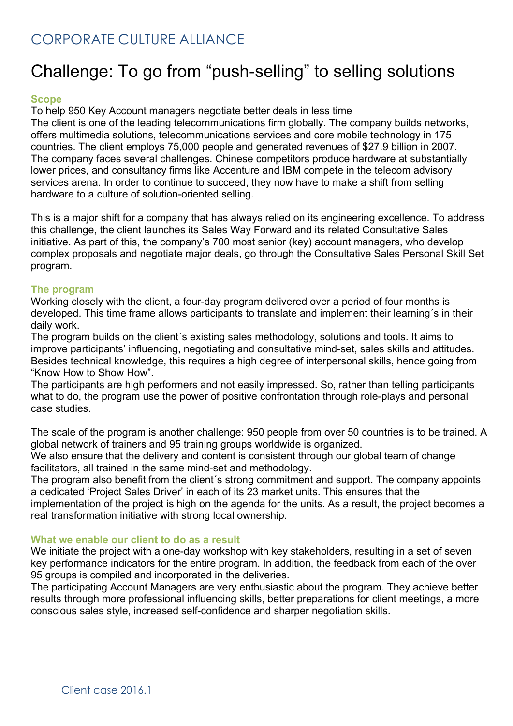# Challenge: To go from "push-selling" to selling solutions

### **Scope**

To help 950 Key Account managers negotiate better deals in less time

The client is one of the leading telecommunications firm globally. The company builds networks, offers multimedia solutions, telecommunications services and core mobile technology in 175 countries. The client employs 75,000 people and generated revenues of \$27.9 billion in 2007. The company faces several challenges. Chinese competitors produce hardware at substantially lower prices, and consultancy firms like Accenture and IBM compete in the telecom advisory services arena. In order to continue to succeed, they now have to make a shift from selling hardware to a culture of solution-oriented selling.

This is a major shift for a company that has always relied on its engineering excellence. To address this challenge, the client launches its Sales Way Forward and its related Consultative Sales initiative. As part of this, the company's 700 most senior (key) account managers, who develop complex proposals and negotiate major deals, go through the Consultative Sales Personal Skill Set program.

#### **The program**

Working closely with the client, a four-day program delivered over a period of four months is developed. This time frame allows participants to translate and implement their learning´s in their daily work.

The program builds on the client´s existing sales methodology, solutions and tools. It aims to improve participants' influencing, negotiating and consultative mind-set, sales skills and attitudes. Besides technical knowledge, this requires a high degree of interpersonal skills, hence going from "Know How to Show How".

The participants are high performers and not easily impressed. So, rather than telling participants what to do, the program use the power of positive confrontation through role-plays and personal case studies.

The scale of the program is another challenge: 950 people from over 50 countries is to be trained. A global network of trainers and 95 training groups worldwide is organized.

We also ensure that the delivery and content is consistent through our global team of change facilitators, all trained in the same mind-set and methodology.

The program also benefit from the client´s strong commitment and support. The company appoints a dedicated 'Project Sales Driver' in each of its 23 market units. This ensures that the

implementation of the project is high on the agenda for the units. As a result, the project becomes a real transformation initiative with strong local ownership.

#### **What we enable our client to do as a result**

We initiate the project with a one-day workshop with key stakeholders, resulting in a set of seven key performance indicators for the entire program. In addition, the feedback from each of the over 95 groups is compiled and incorporated in the deliveries.

The participating Account Managers are very enthusiastic about the program. They achieve better results through more professional influencing skills, better preparations for client meetings, a more conscious sales style, increased self-confidence and sharper negotiation skills.